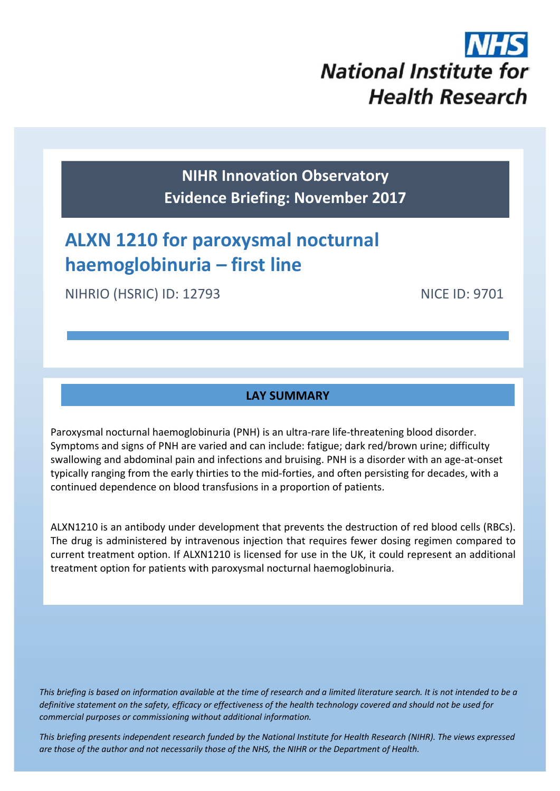

**NIHR Innovation Observatory Evidence Briefing: November 2017**

# **ALXN 1210 for paroxysmal nocturnal haemoglobinuria – first line**

NIHRIO (HSRIC) ID: 12793 NICE ID: 9701

## **LAY SUMMARY**

Paroxysmal nocturnal haemoglobinuria (PNH) is an ultra‐rare life‐threatening blood disorder. Symptoms and signs of PNH are varied and can include: fatigue; dark red/brown urine; difficulty swallowing and abdominal pain and infections and bruising. PNH is a disorder with an age‐at‐onset typically ranging from the early thirties to the mid‐forties, and often persisting for decades, with a continued dependence on blood transfusions in a proportion of patients.

ALXN1210 is an antibody under development that prevents the destruction of red blood cells (RBCs). The drug is administered by intravenous injection that requires fewer dosing regimen compared to current treatment option. If ALXN1210 is licensed for use in the UK, it could represent an additional treatment option for patients with paroxysmal nocturnal haemoglobinuria.

This briefing is based on information available at the time of research and a limited literature search. It is not intended to be a definitive statement on the safety, efficacy or effectiveness of the health technology covered and should not be used for *commercial purposes or commissioning without additional information.*

This briefing presents independent research funded by the National Institute for Health Research (NIHR). The views expressea are those of the author and not necessarily those of the NHS, the NIHR or the Department of Health.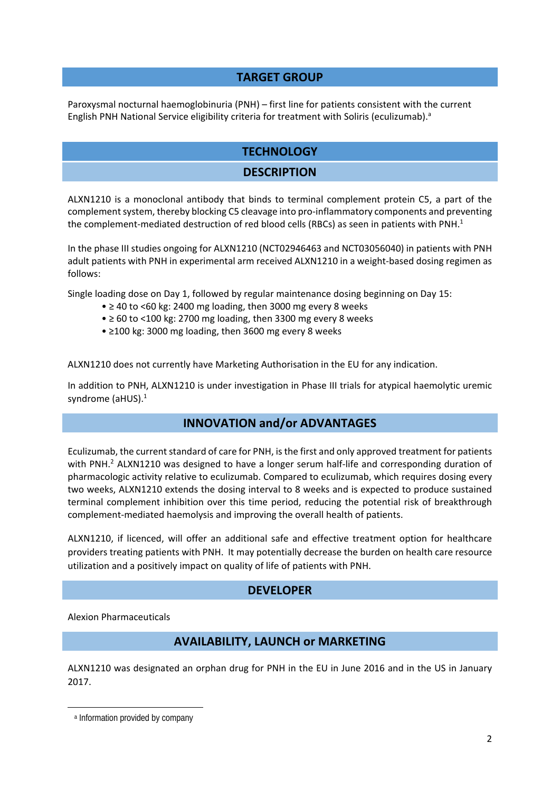#### **TARGET GROUP**

Paroxysmal nocturnal haemoglobinuria (PNH) – first line for patients consistent with the current English PNH National Service eligibility criteria for treatment with Soliris (eculizumab).<sup>a</sup>

## **TECHNOLOGY**

#### **DESCRIPTION**

ALXN1210 is a monoclonal antibody that binds to terminal complement protein C5, a part of the complement system, thereby blocking C5 cleavage into pro-inflammatory components and preventing the complement-mediated destruction of red blood cells (RBCs) as seen in patients with PNH.<sup>1</sup>

In the phase III studies ongoing for ALXN1210 (NCT02946463 and NCT03056040) in patients with PNH adult patients with PNH in experimental arm received ALXN1210 in a weight-based dosing regimen as follows:

Single loading dose on Day 1, followed by regular maintenance dosing beginning on Day 15:

- ≥ 40 to <60 kg: 2400 mg loading, then 3000 mg every 8 weeks
- $\bullet \geq 60$  to <100 kg: 2700 mg loading, then 3300 mg every 8 weeks
- ≥100 kg: 3000 mg loading, then 3600 mg every 8 weeks

ALXN1210 does not currently have Marketing Authorisation in the EU for any indication.

In addition to PNH, ALXN1210 is under investigation in Phase III trials for atypical haemolytic uremic syndrome (aHUS).<sup>1</sup>

#### **INNOVATION and/or ADVANTAGES**

Eculizumab, the current standard of care for PNH, is the first and only approved treatment for patients with PNH.<sup>2</sup> ALXN1210 was designed to have a longer serum half-life and corresponding duration of pharmacologic activity relative to eculizumab. Compared to eculizumab, which requires dosing every two weeks, ALXN1210 extends the dosing interval to 8 weeks and is expected to produce sustained terminal complement inhibition over this time period, reducing the potential risk of breakthrough complement‐mediated haemolysis and improving the overall health of patients.

ALXN1210, if licenced, will offer an additional safe and effective treatment option for healthcare providers treating patients with PNH. It may potentially decrease the burden on health care resource utilization and a positively impact on quality of life of patients with PNH.

#### **DEVELOPER**

Alexion Pharmaceuticals

## **AVAILABILITY, LAUNCH or MARKETING**

ALXN1210 was designated an orphan drug for PNH in the EU in June 2016 and in the US in January 2017.

 a Information provided by company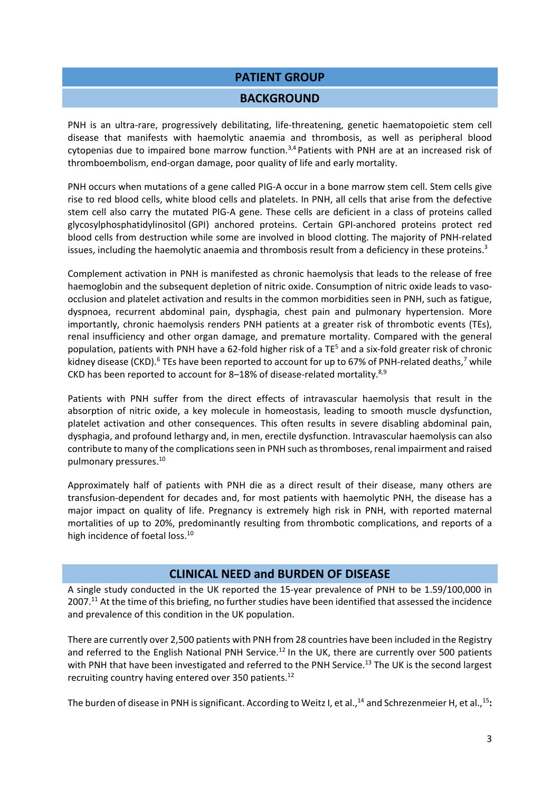#### **PATIENT GROUP**

#### **BACKGROUND**

PNH is an ultra-rare, progressively debilitating, life-threatening, genetic haematopoietic stem cell disease that manifests with haemolytic anaemia and thrombosis, as well as peripheral blood cytopenias due to impaired bone marrow function.<sup>3,4</sup> Patients with PNH are at an increased risk of thromboembolism, end‐organ damage, poor quality of life and early mortality.

PNH occurs when mutations of a gene called PIG‐A occur in a bone marrow stem cell. Stem cells give rise to red blood cells, white blood cells and platelets. In PNH, all cells that arise from the defective stem cell also carry the mutated PIG‐A gene. These cells are deficient in a class of proteins called glycosylphosphatidylinositol (GPI) anchored proteins. Certain GPI‐anchored proteins protect red blood cells from destruction while some are involved in blood clotting. The majority of PNH‐related issues, including the haemolytic anaemia and thrombosis result from a deficiency in these proteins. $3$ 

Complement activation in PNH is manifested as chronic haemolysis that leads to the release of free haemoglobin and the subsequent depletion of nitric oxide. Consumption of nitric oxide leads to vasoocclusion and platelet activation and results in the common morbidities seen in PNH, such as fatigue, dyspnoea, recurrent abdominal pain, dysphagia, chest pain and pulmonary hypertension. More importantly, chronic haemolysis renders PNH patients at a greater risk of thrombotic events (TEs), renal insufficiency and other organ damage, and premature mortality. Compared with the general population, patients with PNH have a 62-fold higher risk of a TE<sup>5</sup> and a six-fold greater risk of chronic kidney disease (CKD).<sup>6</sup> TEs have been reported to account for up to 67% of PNH-related deaths,<sup>7</sup> while CKD has been reported to account for 8–18% of disease-related mortality.<sup>8,9</sup>

Patients with PNH suffer from the direct effects of intravascular haemolysis that result in the absorption of nitric oxide, a key molecule in homeostasis, leading to smooth muscle dysfunction, platelet activation and other consequences. This often results in severe disabling abdominal pain, dysphagia, and profound lethargy and, in men, erectile dysfunction. Intravascular haemolysis can also contribute to many of the complications seen in PNH such as thromboses, renal impairment and raised pulmonary pressures.10

Approximately half of patients with PNH die as a direct result of their disease, many others are transfusion‐dependent for decades and, for most patients with haemolytic PNH, the disease has a major impact on quality of life. Pregnancy is extremely high risk in PNH, with reported maternal mortalities of up to 20%, predominantly resulting from thrombotic complications, and reports of a high incidence of foetal loss.<sup>10</sup>

#### **CLINICAL NEED and BURDEN OF DISEASE**

A single study conducted in the UK reported the 15‐year prevalence of PNH to be 1.59/100,000 in  $2007<sup>11</sup>$  At the time of this briefing, no further studies have been identified that assessed the incidence and prevalence of this condition in the UK population.

There are currently over 2,500 patients with PNH from 28 countries have been included in the Registry and referred to the English National PNH Service.<sup>12</sup> In the UK, there are currently over 500 patients with PNH that have been investigated and referred to the PNH Service.<sup>13</sup> The UK is the second largest recruiting country having entered over 350 patients.<sup>12</sup>

The burden of disease in PNH is significant. According to Weitz I, et al.,<sup>14</sup> and Schrezenmeier H, et al.,<sup>15</sup>: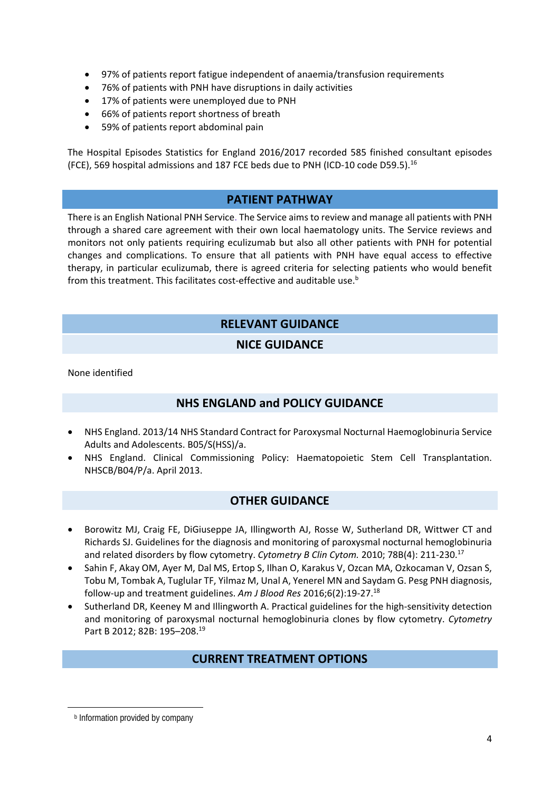- 97% of patients report fatigue independent of anaemia/transfusion requirements
- 76% of patients with PNH have disruptions in daily activities
- 17% of patients were unemployed due to PNH
- 66% of patients report shortness of breath
- 59% of patients report abdominal pain

The Hospital Episodes Statistics for England 2016/2017 recorded 585 finished consultant episodes (FCE), 569 hospital admissions and 187 FCE beds due to PNH (ICD-10 code D59.5).<sup>16</sup>

## **PATIENT PATHWAY**

There is an English National PNH Service. The Service aims to review and manage all patients with PNH through a shared care agreement with their own local haematology units. The Service reviews and monitors not only patients requiring eculizumab but also all other patients with PNH for potential changes and complications. To ensure that all patients with PNH have equal access to effective therapy, in particular eculizumab, there is agreed criteria for selecting patients who would benefit from this treatment. This facilitates cost-effective and auditable use.<sup>b</sup>

## **RELEVANT GUIDANCE**

#### **NICE GUIDANCE**

None identified

## **NHS ENGLAND and POLICY GUIDANCE**

- NHS England. 2013/14 NHS Standard Contract for Paroxysmal Nocturnal Haemoglobinuria Service Adults and Adolescents. B05/S(HSS)/a.
- NHS England. Clinical Commissioning Policy: Haematopoietic Stem Cell Transplantation. NHSCB/B04/P/a. April 2013.

## **OTHER GUIDANCE**

- Borowitz MJ, Craig FE, DiGiuseppe JA, Illingworth AJ, Rosse W, Sutherland DR, Wittwer CT and Richards SJ. Guidelines for the diagnosis and monitoring of paroxysmal nocturnal hemoglobinuria and related disorders by flow cytometry. *Cytometry B Clin Cytom.* 2010; 78B(4): 211‐230.17
- Sahin F, Akay OM, Ayer M, Dal MS, Ertop S, Ilhan O, Karakus V, Ozcan MA, Ozkocaman V, Ozsan S, Tobu M, Tombak A, Tuglular TF, Yilmaz M, Unal A, Yenerel MN and Saydam G. Pesg PNH diagnosis, follow‐up and treatment guidelines. *Am J Blood Res* 2016;6(2):19‐27.18
- Sutherland DR, Keeney M and Illingworth A. Practical guidelines for the high-sensitivity detection and monitoring of paroxysmal nocturnal hemoglobinuria clones by flow cytometry. *Cytometry* Part B 2012; 82B: 195-208.<sup>19</sup>

#### **CURRENT TREATMENT OPTIONS**

 **b** Information provided by company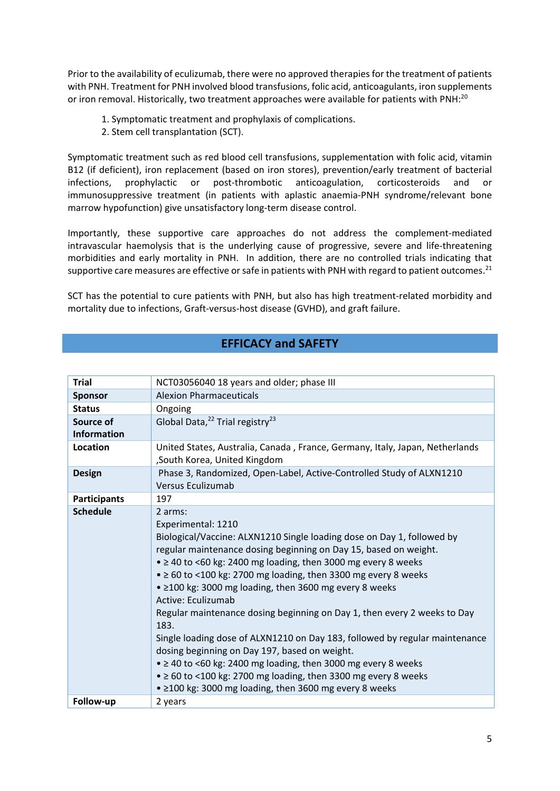Prior to the availability of eculizumab, there were no approved therapiesfor the treatment of patients with PNH. Treatment for PNH involved blood transfusions, folic acid, anticoagulants, iron supplements or iron removal. Historically, two treatment approaches were available for patients with PNH:<sup>20</sup>

- 1. Symptomatic treatment and prophylaxis of complications.
- 2. Stem cell transplantation (SCT).

Symptomatic treatment such as red blood cell transfusions, supplementation with folic acid, vitamin B12 (if deficient), iron replacement (based on iron stores), prevention/early treatment of bacterial infections, prophylactic or post-thrombotic anticoagulation, corticosteroids and or immunosuppressive treatment (in patients with aplastic anaemia‐PNH syndrome/relevant bone marrow hypofunction) give unsatisfactory long‐term disease control.

Importantly, these supportive care approaches do not address the complement‐mediated intravascular haemolysis that is the underlying cause of progressive, severe and life‐threatening morbidities and early mortality in PNH. In addition, there are no controlled trials indicating that supportive care measures are effective or safe in patients with PNH with regard to patient outcomes.<sup>21</sup>

SCT has the potential to cure patients with PNH, but also has high treatment-related morbidity and mortality due to infections, Graft‐versus‐host disease (GVHD), and graft failure.

#### **EFFICACY and SAFETY**

| <b>Trial</b>        | NCT03056040 18 years and older; phase III                                    |
|---------------------|------------------------------------------------------------------------------|
| <b>Sponsor</b>      | <b>Alexion Pharmaceuticals</b>                                               |
| <b>Status</b>       | Ongoing                                                                      |
| Source of           | Global Data, <sup>22</sup> Trial registry <sup>23</sup>                      |
| <b>Information</b>  |                                                                              |
| Location            | United States, Australia, Canada, France, Germany, Italy, Japan, Netherlands |
|                     | , South Korea, United Kingdom                                                |
| <b>Design</b>       | Phase 3, Randomized, Open-Label, Active-Controlled Study of ALXN1210         |
|                     | Versus Eculizumab                                                            |
| <b>Participants</b> | 197                                                                          |
| <b>Schedule</b>     | 2 arms:                                                                      |
|                     | Experimental: 1210                                                           |
|                     | Biological/Vaccine: ALXN1210 Single loading dose on Day 1, followed by       |
|                     | regular maintenance dosing beginning on Day 15, based on weight.             |
|                     | $\bullet$ $\geq$ 40 to <60 kg: 2400 mg loading, then 3000 mg every 8 weeks   |
|                     | $\bullet$ $\geq$ 60 to <100 kg: 2700 mg loading, then 3300 mg every 8 weeks  |
|                     | • ≥100 kg: 3000 mg loading, then 3600 mg every 8 weeks                       |
|                     | Active: Eculizumab                                                           |
|                     | Regular maintenance dosing beginning on Day 1, then every 2 weeks to Day     |
|                     | 183.                                                                         |
|                     | Single loading dose of ALXN1210 on Day 183, followed by regular maintenance  |
|                     | dosing beginning on Day 197, based on weight.                                |
|                     | • ≥ 40 to <60 kg: 2400 mg loading, then 3000 mg every 8 weeks                |
|                     | $\bullet$ $\geq$ 60 to <100 kg: 2700 mg loading, then 3300 mg every 8 weeks  |
|                     | • ≥100 kg: 3000 mg loading, then 3600 mg every 8 weeks                       |
| Follow-up           | 2 years                                                                      |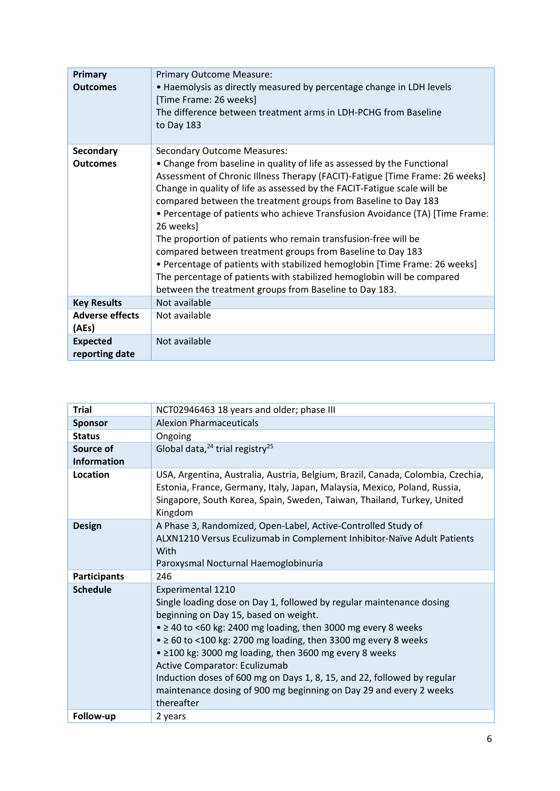| Primary<br><b>Outcomes</b>          | <b>Primary Outcome Measure:</b><br>• Haemolysis as directly measured by percentage change in LDH levels<br>[Time Frame: 26 weeks]<br>The difference between treatment arms in LDH-PCHG from Baseline<br>to Day 183                                                                                                                                                                                                                                                                                                                                                                                                                                                                                                                                                                         |
|-------------------------------------|--------------------------------------------------------------------------------------------------------------------------------------------------------------------------------------------------------------------------------------------------------------------------------------------------------------------------------------------------------------------------------------------------------------------------------------------------------------------------------------------------------------------------------------------------------------------------------------------------------------------------------------------------------------------------------------------------------------------------------------------------------------------------------------------|
| <b>Secondary</b><br><b>Outcomes</b> | <b>Secondary Outcome Measures:</b><br>• Change from baseline in quality of life as assessed by the Functional<br>Assessment of Chronic Illness Therapy (FACIT)-Fatigue [Time Frame: 26 weeks]<br>Change in quality of life as assessed by the FACIT-Fatigue scale will be<br>compared between the treatment groups from Baseline to Day 183<br>• Percentage of patients who achieve Transfusion Avoidance (TA) [Time Frame:<br>26 weeks]<br>The proportion of patients who remain transfusion-free will be<br>compared between treatment groups from Baseline to Day 183<br>• Percentage of patients with stabilized hemoglobin [Time Frame: 26 weeks]<br>The percentage of patients with stabilized hemoglobin will be compared<br>between the treatment groups from Baseline to Day 183. |
| <b>Key Results</b>                  | Not available                                                                                                                                                                                                                                                                                                                                                                                                                                                                                                                                                                                                                                                                                                                                                                              |
| <b>Adverse effects</b><br>(AEs)     | Not available                                                                                                                                                                                                                                                                                                                                                                                                                                                                                                                                                                                                                                                                                                                                                                              |
| <b>Expected</b><br>reporting date   | Not available                                                                                                                                                                                                                                                                                                                                                                                                                                                                                                                                                                                                                                                                                                                                                                              |

| <b>Trial</b>                    | NCT02946463 18 years and older; phase III                                                                                                                                                                                                                                                                                                                                                                                                                                                                                                                 |  |  |  |
|---------------------------------|-----------------------------------------------------------------------------------------------------------------------------------------------------------------------------------------------------------------------------------------------------------------------------------------------------------------------------------------------------------------------------------------------------------------------------------------------------------------------------------------------------------------------------------------------------------|--|--|--|
| <b>Sponsor</b>                  | <b>Alexion Pharmaceuticals</b>                                                                                                                                                                                                                                                                                                                                                                                                                                                                                                                            |  |  |  |
| <b>Status</b>                   | Ongoing                                                                                                                                                                                                                                                                                                                                                                                                                                                                                                                                                   |  |  |  |
| Source of<br><b>Information</b> | Global data, $24$ trial registry <sup>25</sup>                                                                                                                                                                                                                                                                                                                                                                                                                                                                                                            |  |  |  |
| Location                        | USA, Argentina, Australia, Austria, Belgium, Brazil, Canada, Colombia, Czechia,<br>Estonia, France, Germany, Italy, Japan, Malaysia, Mexico, Poland, Russia,<br>Singapore, South Korea, Spain, Sweden, Taiwan, Thailand, Turkey, United<br>Kingdom                                                                                                                                                                                                                                                                                                        |  |  |  |
| <b>Design</b>                   | A Phase 3, Randomized, Open-Label, Active-Controlled Study of<br>ALXN1210 Versus Eculizumab in Complement Inhibitor-Naïve Adult Patients<br>With<br>Paroxysmal Nocturnal Haemoglobinuria                                                                                                                                                                                                                                                                                                                                                                  |  |  |  |
| <b>Participants</b>             | 246                                                                                                                                                                                                                                                                                                                                                                                                                                                                                                                                                       |  |  |  |
| <b>Schedule</b>                 | Experimental 1210<br>Single loading dose on Day 1, followed by regular maintenance dosing<br>beginning on Day 15, based on weight.<br>$\bullet$ $\geq$ 40 to <60 kg: 2400 mg loading, then 3000 mg every 8 weeks<br>$\bullet$ $\geq$ 60 to <100 kg: 2700 mg loading, then 3300 mg every 8 weeks<br>• ≥100 kg: 3000 mg loading, then 3600 mg every 8 weeks<br>Active Comparator: Eculizumab<br>Induction doses of 600 mg on Days 1, 8, 15, and 22, followed by regular<br>maintenance dosing of 900 mg beginning on Day 29 and every 2 weeks<br>thereafter |  |  |  |
| Follow-up                       | 2 years                                                                                                                                                                                                                                                                                                                                                                                                                                                                                                                                                   |  |  |  |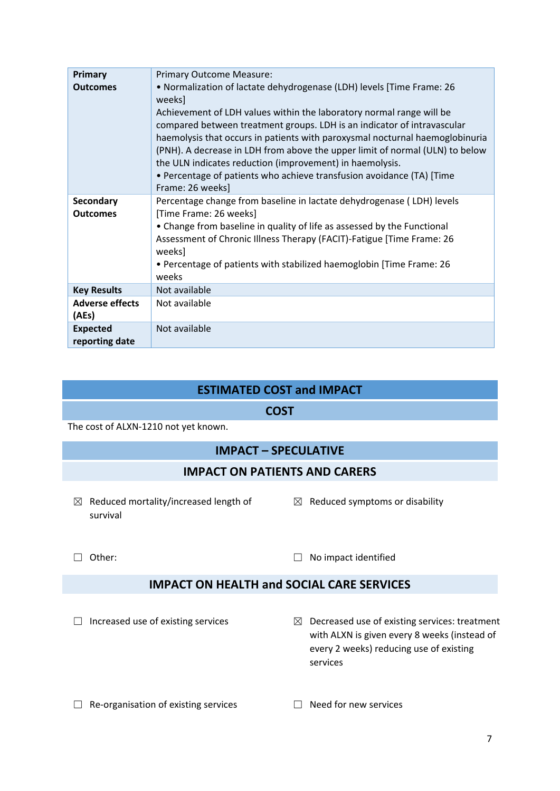| <b>Primary</b>                    | <b>Primary Outcome Measure:</b>                                                                                                                                                                                                                                                                                                                                                                                                                                          |
|-----------------------------------|--------------------------------------------------------------------------------------------------------------------------------------------------------------------------------------------------------------------------------------------------------------------------------------------------------------------------------------------------------------------------------------------------------------------------------------------------------------------------|
| <b>Outcomes</b>                   | • Normalization of lactate dehydrogenase (LDH) levels [Time Frame: 26<br>weeks                                                                                                                                                                                                                                                                                                                                                                                           |
|                                   | Achievement of LDH values within the laboratory normal range will be<br>compared between treatment groups. LDH is an indicator of intravascular<br>haemolysis that occurs in patients with paroxysmal nocturnal haemoglobinuria<br>(PNH). A decrease in LDH from above the upper limit of normal (ULN) to below<br>the ULN indicates reduction (improvement) in haemolysis.<br>• Percentage of patients who achieve transfusion avoidance (TA) [Time<br>Frame: 26 weeks] |
| Secondary                         | Percentage change from baseline in lactate dehydrogenase (LDH) levels                                                                                                                                                                                                                                                                                                                                                                                                    |
| <b>Outcomes</b>                   | [Time Frame: 26 weeks]                                                                                                                                                                                                                                                                                                                                                                                                                                                   |
|                                   | • Change from baseline in quality of life as assessed by the Functional                                                                                                                                                                                                                                                                                                                                                                                                  |
|                                   | Assessment of Chronic Illness Therapy (FACIT)-Fatigue [Time Frame: 26<br>weeks]                                                                                                                                                                                                                                                                                                                                                                                          |
|                                   | • Percentage of patients with stabilized haemoglobin [Time Frame: 26<br>weeks                                                                                                                                                                                                                                                                                                                                                                                            |
| <b>Key Results</b>                | Not available                                                                                                                                                                                                                                                                                                                                                                                                                                                            |
| <b>Adverse effects</b><br>(AEs)   | Not available                                                                                                                                                                                                                                                                                                                                                                                                                                                            |
| <b>Expected</b><br>reporting date | Not available                                                                                                                                                                                                                                                                                                                                                                                                                                                            |

## **ESTIMATED COST and IMPACT**

#### **COST**

The cost of ALXN‐1210 not yet known.

## **IMPACT – SPECULATIVE**

## **IMPACT ON PATIENTS AND CARERS**

- $\boxtimes$  Reduced mortality/increased length of survival
- $\boxtimes$  Reduced symptoms or disability

☐ Other: ☐ No impact identified

## **IMPACT ON HEALTH and SOCIAL CARE SERVICES**

- □ Increased use of existing services <br>  **Decreased use of existing services ■** Decreased use of existing services: treatment with ALXN is given every 8 weeks (instead of every 2 weeks) reducing use of existing services
- ☐ Re‐organisation of existing services ☐ Need for new services
-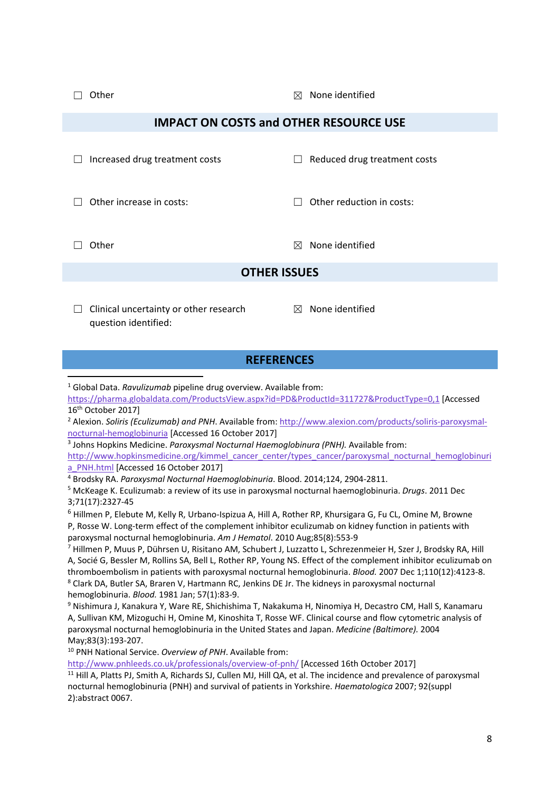☐ Other ☒ None identified

#### **IMPACT ON COSTS and OTHER RESOURCE USE**

| $\mathbf{1}$             | Increased drug treatment costs | $\Box$ | Reduced drug treatment costs |
|--------------------------|--------------------------------|--------|------------------------------|
| Other increase in costs: |                                | $\Box$ | Other reduction in costs:    |
|                          |                                |        |                              |

 $\Box$  Other  $\boxtimes$  None identified

#### **OTHER ISSUES**

 $\Box$  Clinical uncertainty or other research question identified:

 $<sup>2</sup>$  None identified</sup>

#### **REFERENCES**

<sup>1</sup> Global Data. *Ravulizumab* pipeline drug overview. Available from:

https://pharma.globaldata.com/ProductsView.aspx?id=PD&ProductId=311727&ProductType=0,1 [Accessed 16th October 2017]

<sup>2</sup> Alexion. *Soliris (Eculizumab) and PNH*. Available from: http://www.alexion.com/products/soliris-paroxysmalnocturnal‐hemoglobinuria [Accessed 16 October 2017]

<sup>3</sup> Johns Hopkins Medicine. *Paroxysmal Nocturnal Haemoglobinura (PNH).* Available from:

http://www.hopkinsmedicine.org/kimmel\_cancer\_center/types\_cancer/paroxysmal\_nocturnal\_hemoglobinuri a\_PNH.html [Accessed 16 October 2017]

<sup>4</sup> Brodsky RA. *Paroxysmal Nocturnal Haemoglobinuria*. Blood. 2014;124, 2904‐2811.

<sup>5</sup> McKeage K. Eculizumab: a review of its use in paroxysmal nocturnal haemoglobinuria. *Drugs*. 2011 Dec 3;71(17):2327‐45

<sup>6</sup> Hillmen P, Elebute M, Kelly R, Urbano‐Ispizua A, Hill A, Rother RP, Khursigara G, Fu CL, Omine M, Browne P, Rosse W. Long‐term effect of the complement inhibitor eculizumab on kidney function in patients with paroxysmal nocturnal hemoglobinuria. *Am J Hematol*. 2010 Aug;85(8):553‐9

<sup>7</sup> Hillmen P, Muus P, Dührsen U, Risitano AM, Schubert J, Luzzatto L, Schrezenmeier H, Szer J, Brodsky RA, Hill A, Socié G, Bessler M, Rollins SA, Bell L, Rother RP, Young NS. Effect of the complement inhibitor eculizumab on thromboembolism in patients with paroxysmal nocturnal hemoglobinuria. *Blood.* 2007 Dec 1;110(12):4123‐8. <sup>8</sup> Clark DA, Butler SA, Braren V, Hartmann RC, Jenkins DE Jr. The kidneys in paroxysmal nocturnal hemoglobinuria. *Blood.* 1981 Jan; 57(1):83‐9.

<sup>9</sup> Nishimura J, Kanakura Y, Ware RE, Shichishima T, Nakakuma H, Ninomiya H, Decastro CM, Hall S, Kanamaru A, Sullivan KM, Mizoguchi H, Omine M, Kinoshita T, Rosse WF. Clinical course and flow cytometric analysis of paroxysmal nocturnal hemoglobinuria in the United States and Japan. *Medicine (Baltimore).* 2004 May;83(3):193‐207.

<sup>10</sup> PNH National Service. *Overview of PNH*. Available from:

http://www.pnhleeds.co.uk/professionals/overview‐of‐pnh/ [Accessed 16th October 2017]

<sup>11</sup> Hill A, Platts PJ, Smith A, Richards SJ, Cullen MJ, Hill QA, et al. The incidence and prevalence of paroxysmal nocturnal hemoglobinuria (PNH) and survival of patients in Yorkshire. *Haematologica* 2007; 92(suppl 2):abstract 0067.